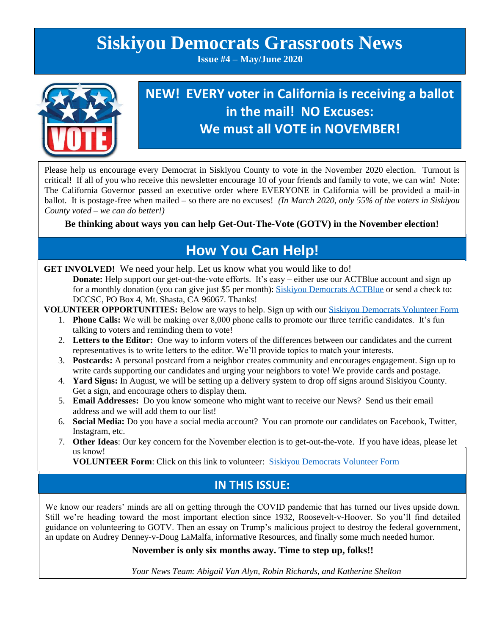# **Siskiyou Democrats Grassroots News**

**Issue #4 – May/June 2020**



## **NEW! EVERY voter in California is receiving a ballot in the mail! NO Excuses: We must all VOTE in NOVEMBER!**

Please help us encourage every Democrat in Siskiyou County to vote in the November 2020 election. Turnout is critical! If all of you who receive this newsletter encourage 10 of your friends and family to vote, we can win! Note: The California Governor passed an executive order where EVERYONE in California will be provided a mail-in ballot. It is postage-free when mailed – so there are no excuses! *(In March 2020, only 55% of the voters in Siskiyou County voted – we can do better!)*

**Be thinking about ways you can help Get-Out-The-Vote (GOTV) in the November election!**

## **How You Can Help!**

GET INVOLVED! We need your help. Let us know what you would like to do!

**Donate:** Help support our get-out-the-vote efforts. It's easy – either use our ACTBlue account and sign up for a monthly donation (you can give just \$5 per month): [Siskiyou Democrats ACTBlue](https://secure.actblue.com/donate/democratic-central-committee-of-siskiyou-county-federal-1) or send a check to: DCCSC, PO Box 4, Mt. Shasta, CA 96067. Thanks!

**VOLUNTEER OPPORTUNITIES:** Below are ways to help. Sign up with ou[r Siskiyou Democrats Volunteer Form](https://www.surveymonkey.com/r/YGMQPPL)

- 1. **Phone Calls:** We will be making over 8,000 phone calls to promote our three terrific candidates. It's fun talking to voters and reminding them to vote!
- 2. **Letters to the Editor:** One way to inform voters of the differences between our candidates and the current representatives is to write letters to the editor. We'll provide topics to match your interests.
- 3. **Postcards:** A personal postcard from a neighbor creates community and encourages engagement. Sign up to write cards supporting our candidates and urging your neighbors to vote! We provide cards and postage.
- 4. **Yard Signs:** In August, we will be setting up a delivery system to drop off signs around Siskiyou County. Get a sign, and encourage others to display them.
- 5. **Email Addresses:** Do you know someone who might want to receive our News? Send us their email address and we will add them to our list!
- 6. **Social Media:** Do you have a social media account? You can promote our candidates on Facebook, Twitter, Instagram, etc.
- 7. **Other Ideas**: Our key concern for the November election is to get-out-the-vote. If you have ideas, please let us know!

**VOLUNTEER Form**: Click on this link to volunteer: [Siskiyou Democrats Volunteer Form](https://www.surveymonkey.com/r/YGMQPPL)

## **IN THIS ISSUE:**

We know our readers' minds are all on getting through the COVID pandemic that has turned our lives upside down. Still we're heading toward the most important election since 1932, Roosevelt-v-Hoover. So you'll find detailed guidance on volunteering to GOTV. Then an essay on Trump's malicious project to destroy the federal government, an update on Audrey Denney-v-Doug LaMalfa, informative Resources, and finally some much needed humor.

#### **November is only six months away. Time to step up, folks!!**

*Your News Team: Abigail Van Alyn, Robin Richards, and Katherine Shelton*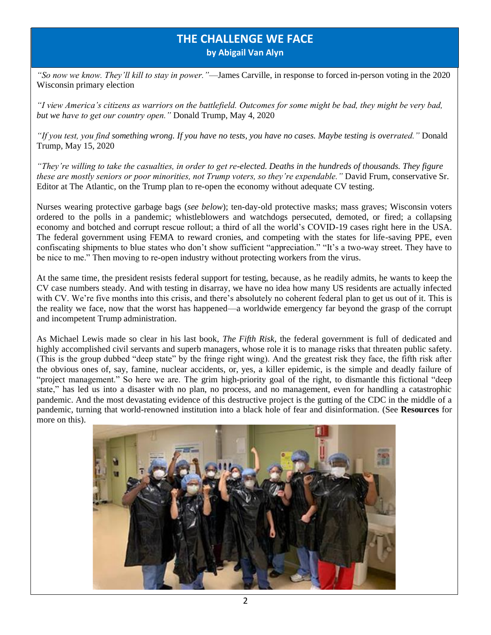### **THE CHALLENGE WE FACE by Abigail Van Alyn**

*"So now we know. They'll kill to stay in power."*—James Carville, in response to forced in-person voting in the 2020 Wisconsin primary election

*"I view America's citizens as warriors on the battlefield. Outcomes for some might be bad, they might be very bad, but we have to get our country open."* Donald Trump, May 4, 2020

*"If you test, you find something wrong. If you have no tests, you have no cases. Maybe testing is overrated."* Donald Trump, May 15, 2020

*"They're willing to take the casualties, in order to get re-elected. Deaths in the hundreds of thousands. They figure these are mostly seniors or poor minorities, not Trump voters, so they're expendable."* David Frum, conservative Sr. Editor at The Atlantic, on the Trump plan to re-open the economy without adequate CV testing.

Nurses wearing protective garbage bags (*see below*); ten-day-old protective masks; mass graves; Wisconsin voters ordered to the polls in a pandemic; whistleblowers and watchdogs persecuted, demoted, or fired; a collapsing economy and botched and corrupt rescue rollout; a third of all the world's COVID-19 cases right here in the USA. The federal government using FEMA to reward cronies, and competing with the states for life-saving PPE, even confiscating shipments to blue states who don't show sufficient "appreciation." "It's a two-way street. They have to be nice to me." Then moving to re-open industry without protecting workers from the virus.

At the same time, the president resists federal support for testing, because, as he readily admits, he wants to keep the CV case numbers steady. And with testing in disarray, we have no idea how many US residents are actually infected with CV. We're five months into this crisis, and there's absolutely no coherent federal plan to get us out of it. This is the reality we face, now that the worst has happened—a worldwide emergency far beyond the grasp of the corrupt and incompetent Trump administration.

As Michael Lewis made so clear in his last book, *The Fifth Risk*, the federal government is full of dedicated and highly accomplished civil servants and superb managers*,* whose role it is to manage risks that threaten public safety. (This is the group dubbed "deep state" by the fringe right wing). And the greatest risk they face, the fifth risk after the obvious ones of, say, famine, nuclear accidents, or, yes, a killer epidemic, is the simple and deadly failure of "project management." So here we are. The grim high-priority goal of the right, to dismantle this fictional "deep state," has led us into a disaster with no plan, no process, and no management, even for handling a catastrophic pandemic. And the most devastating evidence of this destructive project is the gutting of the CDC in the middle of a pandemic, turning that world-renowned institution into a black hole of fear and disinformation. (See **Resources** for more on this).

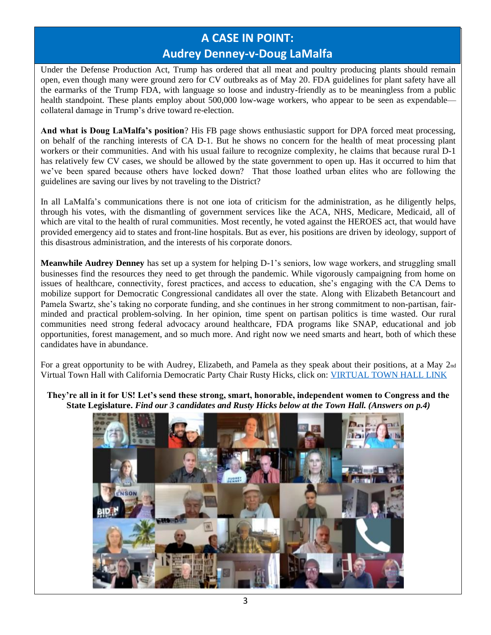## **A CASE IN POINT: Audrey Denney-v-Doug LaMalfa**

Under the Defense Production Act, Trump has ordered that all meat and poultry producing plants should remain open, even though many were ground zero for CV outbreaks as of May 20. FDA guidelines for plant safety have all the earmarks of the Trump FDA, with language so loose and industry-friendly as to be meaningless from a public health standpoint. These plants employ about 500,000 low-wage workers, who appear to be seen as expendable– collateral damage in Trump's drive toward re-election.

**And what is Doug LaMalfa's position**? His FB page shows enthusiastic support for DPA forced meat processing, on behalf of the ranching interests of CA D-1. But he shows no concern for the health of meat processing plant workers or their communities. And with his usual failure to recognize complexity, he claims that because rural D-1 has relatively few CV cases, we should be allowed by the state government to open up. Has it occurred to him that we've been spared because others have locked down? That those loathed urban elites who are following the guidelines are saving our lives by not traveling to the District?

In all LaMalfa's communications there is not one iota of criticism for the administration, as he diligently helps, through his votes, with the dismantling of government services like the ACA, NHS, Medicare, Medicaid, all of which are vital to the health of rural communities. Most recently, he voted against the HEROES act, that would have provided emergency aid to states and front-line hospitals. But as ever, his positions are driven by ideology, support of this disastrous administration, and the interests of his corporate donors.

**Meanwhile Audrey Denney** has set up a system for helping D-1's seniors, low wage workers, and struggling small businesses find the resources they need to get through the pandemic. While vigorously campaigning from home on issues of healthcare, connectivity, forest practices, and access to education, she's engaging with the CA Dems to mobilize support for Democratic Congressional candidates all over the state. Along with Elizabeth Betancourt and Pamela Swartz, she's taking no corporate funding, and she continues in her strong commitment to non-partisan, fairminded and practical problem-solving. In her opinion, time spent on partisan politics is time wasted. Our rural communities need strong federal advocacy around healthcare, FDA programs like SNAP, educational and job opportunities, forest management, and so much more. And right now we need smarts and heart, both of which these candidates have in abundance.

For a great opportunity to be with Audrey, Elizabeth, and Pamela as they speak about their positions, at a May 2nd Virtual Town Hall with California Democratic Party Chair Rusty Hicks, click on: [VIRTUAL TOWN HALL LINK](https://www.youtube.com/watch?v=5-E5yPYBpoI&feature=youtu.be)

**They're all in it for US! Let's send these strong, smart, honorable, independent women to Congress and the State Legislature.** *Find our 3 candidates and Rusty Hicks below at the Town Hall. (Answers on p.4)*

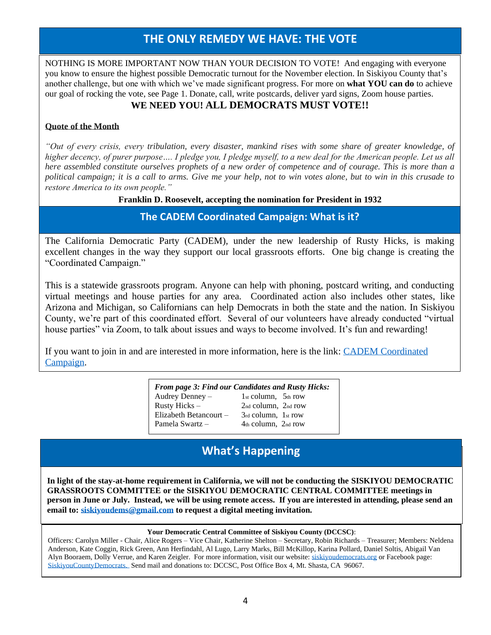### **THE ONLY REMEDY WE HAVE: THE VOTE**

NOTHING IS MORE IMPORTANT NOW THAN YOUR DECISION TO VOTE! And engaging with everyone you know to ensure the highest possible Democratic turnout for the November election. In Siskiyou County that's another challenge, but one with which we've made significant progress. For more on **what YOU can do** to achieve our goal of rocking the vote, see Page 1. Donate, call, write postcards, deliver yard signs, Zoom house parties.

#### **WE NEED YOU! ALL DEMOCRATS MUST VOTE!!**

#### **Quote of the Month**

*"Out of every crisis, every tribulation, every disaster, mankind rises with some share of greater knowledge, of higher decency, of purer purpose…. I pledge you, I pledge myself, to a new deal for the American people. Let us all here assembled constitute ourselves prophets of a new order of competence and of courage. This is more than a political campaign; it is a call to arms. Give me your help, not to win votes alone, but to win in this crusade to restore America to its own people."*

#### **Franklin D. Roosevelt, accepting the nomination for President in 1932**

#### **The CADEM Coordinated Campaign: What is it?**

The California Democratic Party (CADEM), under the new leadership of Rusty Hicks, is making excellent changes in the way they support our local grassroots efforts. One big change is creating the "Coordinated Campaign."

This is a statewide grassroots program. Anyone can help with phoning, postcard writing, and conducting virtual meetings and house parties for any area. Coordinated action also includes other states, like Arizona and Michigan, so Californians can help Democrats in both the state and the nation. In Siskiyou County, we're part of this coordinated effort. Several of our volunteers have already conducted "virtual house parties" via Zoom, to talk about issues and ways to become involved. It's fun and rewarding!

If you want to join in and are interested in more information, here is the link: [CADEM Coordinated](https://www.cadem.org/take-action/2020-coordinated-campaign)  [Campaign.](https://www.cadem.org/take-action/2020-coordinated-campaign)

| <b>From page 3: Find our Candidates and Rusty Hicks:</b> |                         |
|----------------------------------------------------------|-------------------------|
| Audrey Denney $-$                                        | $1st column, 5th row$   |
| Rusty Hicks $-$                                          | $2nd$ column, $2nd$ row |
| Elizabeth Betancourt-                                    | $3rd$ column, $1st$ row |
| Pamela Swartz -                                          | $4th$ column, $2nd$ row |

## **What's Happening**

**In light of the stay-at-home requirement in California, we will not be conducting the SISKIYOU DEMOCRATIC GRASSROOTS COMMITTEE or the SISKIYOU DEMOCRATIC CENTRAL COMMITTEE meetings in person in June or July. Instead, we will be using remote access. If you are interested in attending, please send an email to[: siskiyoudems@gmail.com](mailto:siskiyoudems@gmail.com) to request a digital meeting invitation.**

#### **Your Democratic Central Committee of Siskiyou County (DCCSC)**:

Officers: Carolyn Miller - Chair, Alice Rogers – Vice Chair, Katherine Shelton – Secretary, Robin Richards – Treasurer; Members: Neldena Anderson, Kate Coggin, Rick Green, Ann Herfindahl, Al Lugo, Larry Marks, Bill McKillop, Karina Pollard, Daniel Soltis, Abigail Van Alyn Booraem, Dolly Verrue, and Karen Zeigler. For more information, visit our website[: siskiyoudemocrats.org](http://www.siskiyoudemocrats.org/) or Facebook page: [SiskiyouCountyDemocrats.](https://www.facebook.com/SiskiyouCountyDemocrats/) Send mail and donations to: DCCSC, Post Office Box 4, Mt. Shasta, CA 96067.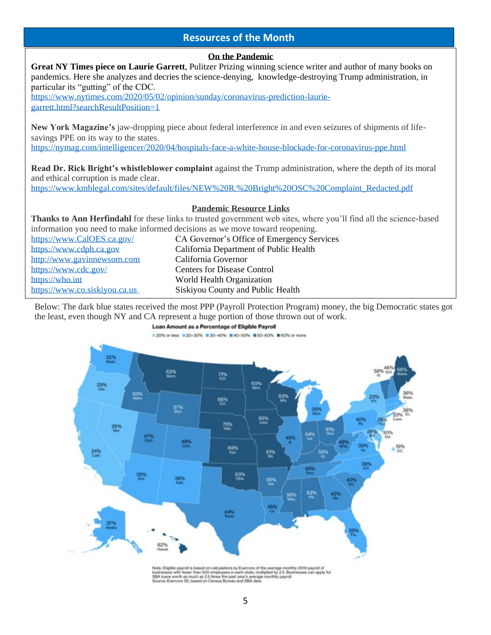#### **Resources of the Month**

#### **On the Pandemic**

Below: The dark blue states received the most PPP (Payroll Protection Program) money, the big Democratic states got the least, even though NY and CA represent a huge portion of those thrown out of work. **Great NY Times piece on Laurie Garrett**, Pulitzer Prizing winning science writer and author of many books on pandemics. Here she analyzes and decries the science-denying, knowledge-destroying Trump administration, in particular its "gutting" of the CDC. [https://www.nytimes.com/2020/05/02/opinion/sunday/coronavirus-prediction-laurie](https://www.nytimes.com/2020/05/02/opinion/sunday/coronavirus-prediction-laurie-garrett.html?searchResultPosition=1)[garrett.html?searchResultPosition=1](https://www.nytimes.com/2020/05/02/opinion/sunday/coronavirus-prediction-laurie-garrett.html?searchResultPosition=1) **New York Magazine's** jaw-dropping piece about federal interference in and even seizures of shipments of lifesavings PPE on its way to the states. <https://nymag.com/intelligencer/2020/04/hospitals-face-a-white-house-blockade-for-coronavirus-ppe.html> **Read Dr. Rick Bright's whistleblower complaint** against the Trump administration, where the depth of its moral and ethical corruption is made clear. [https://www.kmblegal.com/sites/default/files/NEW%20R.%20Bright%20OSC%20Complaint\\_Redacted.pdf](https://www.kmblegal.com/sites/default/files/NEW%20R.%20Bright%20OSC%20Complaint_Redacted.pdf) **Pandemic Resource Links Thanks to Ann Herfindahl** for these links to trusted government web sites, where you'll find all the science-based information you need to make informed decisions as we move toward reopening. [https://www.CalOES.ca.gov/](https://www.caloes.ca.gov/) CA Governor's Office of Emergency Services [https://www.cdph.ca.gov](https://www.cdph.ca.gov/) California Department of Public Health [http://www.gavinnewsom.com](http://www.gavinnewsom.com/) California Governor <https://www.cdc.gov/>Centers for Disease Control [https://who.int](https://who.int/) World Health Organization [https://www.co.siskiyou.ca.us](https://www.co.siskiyou.ca.us/) Siskiyou County and Public Health j



Note: Eligible payroll is based on calculations by Evercore of the average monthly 2019 payroll of<br>businesses with favore than 500 employees in each state, multiplied by 2.5. Businesses can apply for<br>SBA loans worth as muc